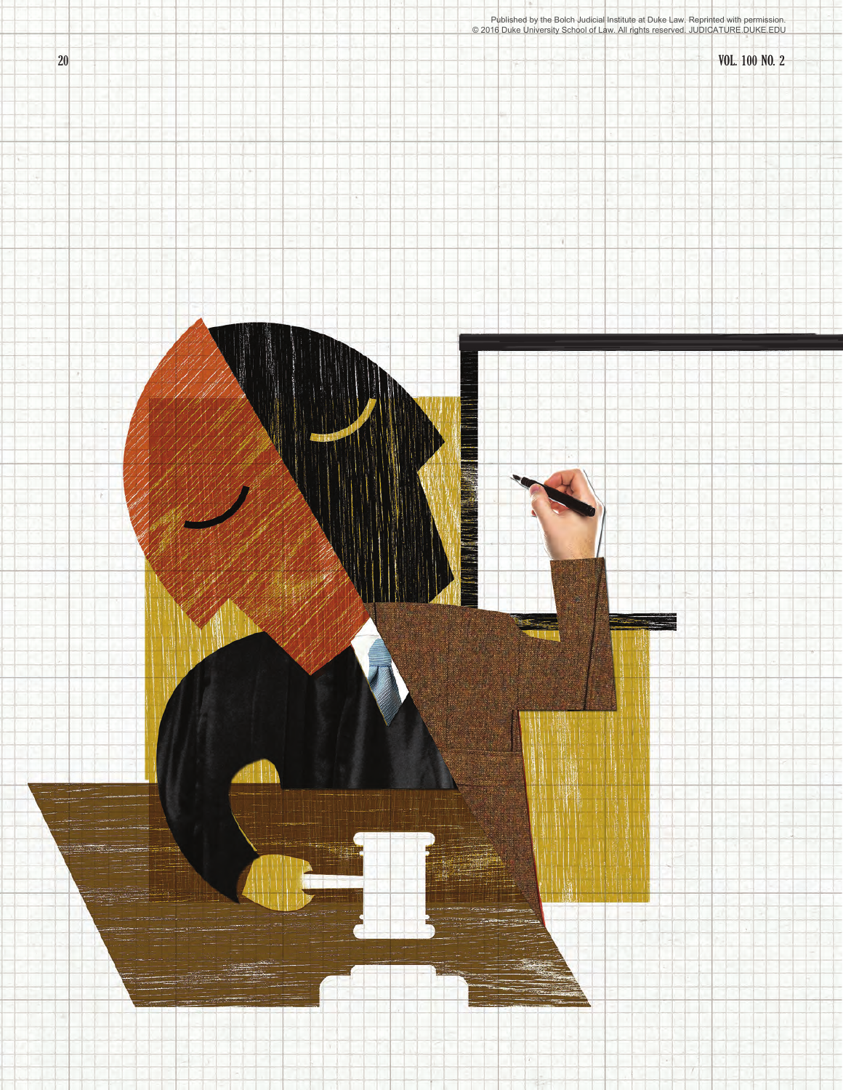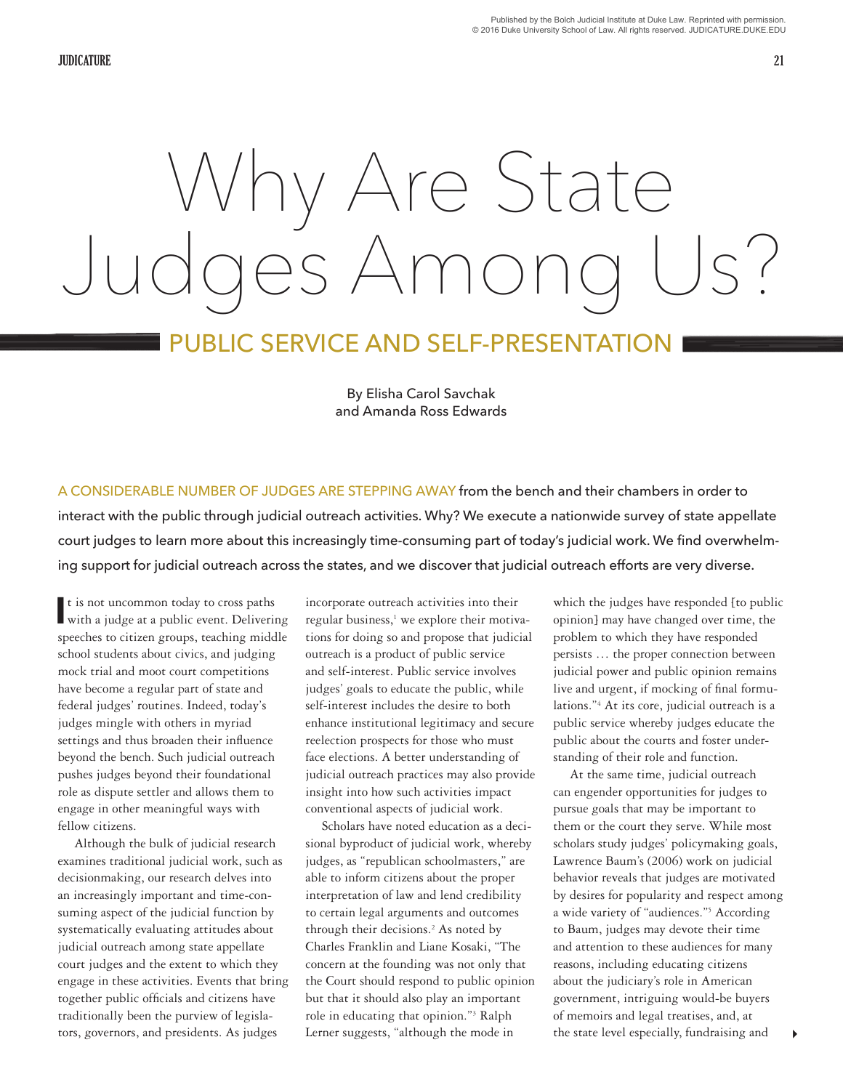# Why Are State ges Amonc

# PUBLIC SERVICE AND SELF-PRESENTATION

By Elisha Carol Savchak and Amanda Ross Edwards

A CONSIDERABLE NUMBER OF JUDGES ARE STEPPING AWAY from the bench and their chambers in order to interact with the public through judicial outreach activities. Why? We execute a nationwide survey of state appellate court judges to learn more about this increasingly time-consuming part of today's judicial work. We find overwhelming support for judicial outreach across the states, and we discover that judicial outreach efforts are very diverse.

t is not uncommon today to cross paths If is not uncommon today to cross paths<br>with a judge at a public event. Delivering speeches to citizen groups, teaching middle school students about civics, and judging mock trial and moot court competitions have become a regular part of state and federal judges' routines. Indeed, today's judges mingle with others in myriad settings and thus broaden their influence beyond the bench. Such judicial outreach pushes judges beyond their foundational role as dispute settler and allows them to engage in other meaningful ways with fellow citizens.

Although the bulk of judicial research examines traditional judicial work, such as decisionmaking, our research delves into an increasingly important and time-consuming aspect of the judicial function by systematically evaluating attitudes about judicial outreach among state appellate court judges and the extent to which they engage in these activities. Events that bring together public officials and citizens have traditionally been the purview of legislators, governors, and presidents. As judges

incorporate outreach activities into their regular business,<sup>1</sup> we explore their motivations for doing so and propose that judicial outreach is a product of public service and self-interest. Public service involves judges' goals to educate the public, while self-interest includes the desire to both enhance institutional legitimacy and secure reelection prospects for those who must face elections. A better understanding of judicial outreach practices may also provide insight into how such activities impact conventional aspects of judicial work.

Scholars have noted education as a decisional byproduct of judicial work, whereby judges, as "republican schoolmasters," are able to inform citizens about the proper interpretation of law and lend credibility to certain legal arguments and outcomes through their decisions.<sup>2</sup> As noted by Charles Franklin and Liane Kosaki, "The concern at the founding was not only that the Court should respond to public opinion but that it should also play an important role in educating that opinion."3 Ralph Lerner suggests, "although the mode in

which the judges have responded [to public] opinion] may have changed over time, the problem to which they have responded persists … the proper connection between judicial power and public opinion remains live and urgent, if mocking of final formulations."4 At its core, judicial outreach is a public service whereby judges educate the public about the courts and foster understanding of their role and function.

At the same time, judicial outreach can engender opportunities for judges to pursue goals that may be important to them or the court they serve. While most scholars study judges' policymaking goals, Lawrence Baum's (2006) work on judicial behavior reveals that judges are motivated by desires for popularity and respect among a wide variety of "audiences."5 According to Baum, judges may devote their time and attention to these audiences for many reasons, including educating citizens about the judiciary's role in American government, intriguing would-be buyers of memoirs and legal treatises, and, at the state level especially, fundraising and

4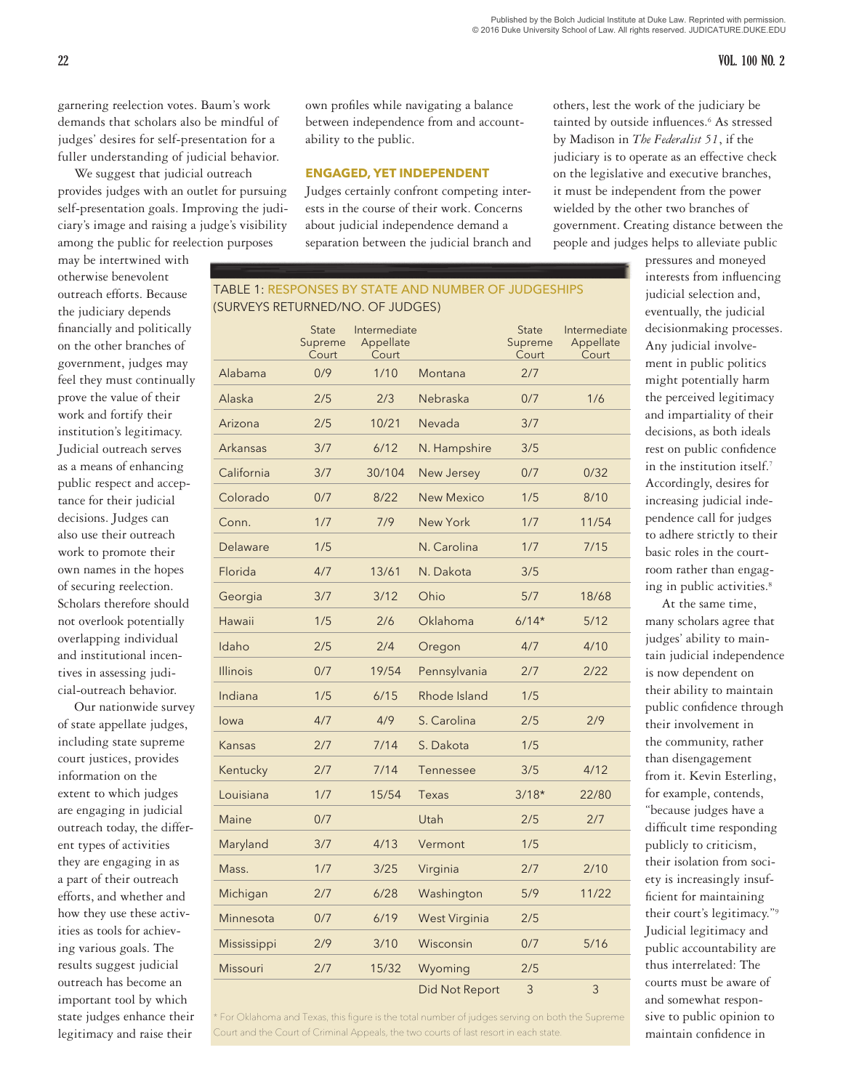garnering reelection votes. Baum's work demands that scholars also be mindful of judges' desires for self-presentation for a fuller understanding of judicial behavior.

We suggest that judicial outreach provides judges with an outlet for pursuing self-presentation goals. Improving the judiciary's image and raising a judge's visibility among the public for reelection purposes

may be intertwined with otherwise benevolent outreach efforts. Because the judiciary depends financially and politically on the other branches of government, judges may feel they must continually prove the value of their work and fortify their institution's legitimacy. Judicial outreach serves as a means of enhancing public respect and acceptance for their judicial decisions. Judges can also use their outreach work to promote their own names in the hopes of securing reelection. Scholars therefore should not overlook potentially overlapping individual and institutional incentives in assessing judicial-outreach behavior.

Our nationwide survey of state appellate judges, including state supreme court justices, provides information on the extent to which judges are engaging in judicial outreach today, the different types of activities they are engaging in as a part of their outreach efforts, and whether and how they use these activities as tools for achieving various goals. The results suggest judicial outreach has become an important tool by which state judges enhance their legitimacy and raise their

own profiles while navigating a balance between independence from and accountability to the public.

#### **ENGAGED, YET INDEPENDENT**

Judges certainly confront competing interests in the course of their work. Concerns about judicial independence demand a separation between the judicial branch and others, lest the work of the judiciary be tainted by outside influences.<sup>6</sup> As stressed by Madison in *The Federalist 51*, if the judiciary is to operate as an effective check on the legislative and executive branches, it must be independent from the power wielded by the other two branches of government. Creating distance between the people and judges helps to alleviate public

#### TABLE 1: RESPONSES BY STATE AND NUMBER OF JUDGESHIPS (SURVEYS RETURNED/NO. OF JUDGES)

|                 | <b>State</b><br>Supreme<br>Court | Intermediate<br>Appellate<br>Court |                      | <b>State</b><br>Supreme<br>Court | Intermediate<br>Appellate<br>Court |
|-----------------|----------------------------------|------------------------------------|----------------------|----------------------------------|------------------------------------|
| Alabama         | 0/9                              | 1/10                               | Montana              | 2/7                              |                                    |
| Alaska          | 2/5                              | 2/3                                | Nebraska             | 0/7                              | 1/6                                |
| Arizona         | 2/5                              | 10/21                              | Nevada               | 3/7                              |                                    |
| Arkansas        | 3/7                              | 6/12                               | N. Hampshire         | 3/5                              |                                    |
| California      | 3/7                              | 30/104                             | New Jersey           | 0/7                              | 0/32                               |
| Colorado        | 0/7                              | 8/22                               | <b>New Mexico</b>    | 1/5                              | 8/10                               |
| Conn.           | 1/7                              | 7/9                                | New York             | 1/7                              | 11/54                              |
| Delaware        | 1/5                              |                                    | N. Carolina          | 1/7                              | 7/15                               |
| Florida         | 4/7                              | 13/61                              | N. Dakota            | 3/5                              |                                    |
| Georgia         | 3/7                              | 3/12                               | Ohio                 | 5/7                              | 18/68                              |
| Hawaii          | 1/5                              | 2/6                                | Oklahoma             | $6/14*$                          | 5/12                               |
| Idaho           | 2/5                              | 2/4                                | Oregon               | 4/7                              | 4/10                               |
| <b>Illinois</b> | 0/7                              | 19/54                              | Pennsylvania         | 2/7                              | 2/22                               |
| Indiana         | 1/5                              | 6/15                               | Rhode Island         | 1/5                              |                                    |
| lowa            | 4/7                              | 4/9                                | S. Carolina          | 2/5                              | 2/9                                |
| Kansas          | 2/7                              | 7/14                               | S. Dakota            | 1/5                              |                                    |
| Kentucky        | 2/7                              | 7/14                               | Tennessee            | 3/5                              | 4/12                               |
| Louisiana       | 1/7                              | 15/54                              | Texas                | $3/18*$                          | 22/80                              |
| Maine           | 0/7                              |                                    | Utah                 | 2/5                              | 2/7                                |
| Maryland        | 3/7                              | 4/13                               | Vermont              | 1/5                              |                                    |
| Mass.           | 1/7                              | 3/25                               | Virginia             | 2/7                              | 2/10                               |
| Michigan        | 2/7                              | 6/28                               | Washington           | 5/9                              | 11/22                              |
| Minnesota       | 0/7                              | 6/19                               | <b>West Virginia</b> | 2/5                              |                                    |
| Mississippi     | 2/9                              | 3/10                               | Wisconsin            | 0/7                              | 5/16                               |
| Missouri        | 2/7                              | 15/32                              | Wyoming              | 2/5                              |                                    |
|                 |                                  |                                    | Did Not Report       | 3                                | 3                                  |

\* For Oklahoma and Texas, this figure is the total number of judges serving on both the Supreme Court and the Court of Criminal Appeals, the two courts of last resort in each state.

pressures and moneyed interests from influencing judicial selection and, eventually, the judicial decisionmaking processes. Any judicial involvement in public politics might potentially harm the perceived legitimacy and impartiality of their decisions, as both ideals rest on public confidence in the institution itself.<sup>7</sup> Accordingly, desires for increasing judicial independence call for judges to adhere strictly to their basic roles in the courtroom rather than engaging in public activities.<sup>8</sup>

At the same time, many scholars agree that judges' ability to maintain judicial independence is now dependent on their ability to maintain public confidence through their involvement in the community, rather than disengagement from it. Kevin Esterling, for example, contends, "because judges have a difficult time responding publicly to criticism, their isolation from society is increasingly insufficient for maintaining their court's legitimacy."9 Judicial legitimacy and public accountability are thus interrelated: The courts must be aware of and somewhat responsive to public opinion to maintain confidence in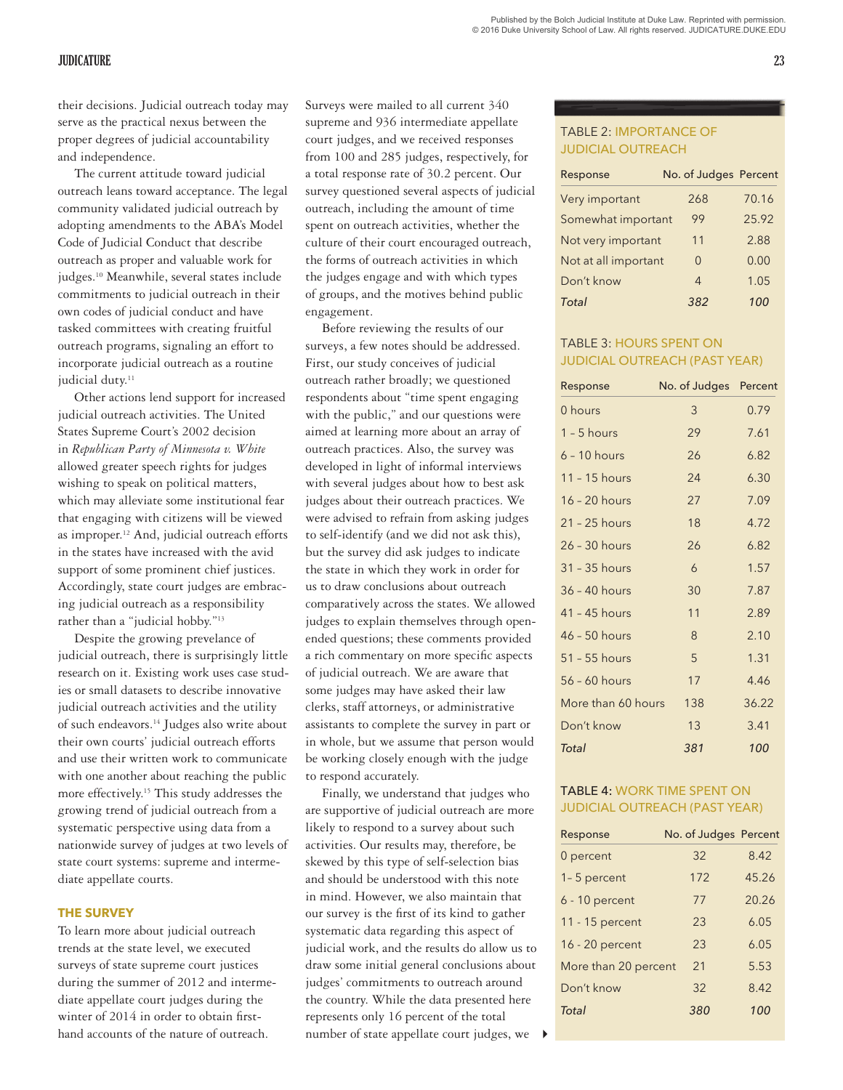# **JUDICATURE 23**

their decisions. Judicial outreach today may serve as the practical nexus between the proper degrees of judicial accountability and independence.

The current attitude toward judicial outreach leans toward acceptance. The legal community validated judicial outreach by adopting amendments to the ABA's Model Code of Judicial Conduct that describe outreach as proper and valuable work for judges.10 Meanwhile, several states include commitments to judicial outreach in their own codes of judicial conduct and have tasked committees with creating fruitful outreach programs, signaling an effort to incorporate judicial outreach as a routine judicial duty.<sup>11</sup>

Other actions lend support for increased judicial outreach activities. The United States Supreme Court's 2002 decision in *Republican Party of Minnesota v. White*  allowed greater speech rights for judges wishing to speak on political matters, which may alleviate some institutional fear that engaging with citizens will be viewed as improper.12 And, judicial outreach efforts in the states have increased with the avid support of some prominent chief justices. Accordingly, state court judges are embracing judicial outreach as a responsibility rather than a "judicial hobby."13

Despite the growing prevelance of judicial outreach, there is surprisingly little research on it. Existing work uses case studies or small datasets to describe innovative judicial outreach activities and the utility of such endeavors.14 Judges also write about their own courts' judicial outreach efforts and use their written work to communicate with one another about reaching the public more effectively.15 This study addresses the growing trend of judicial outreach from a systematic perspective using data from a nationwide survey of judges at two levels of state court systems: supreme and intermediate appellate courts.

#### **THE SURVEY**

To learn more about judicial outreach trends at the state level, we executed surveys of state supreme court justices during the summer of 2012 and intermediate appellate court judges during the winter of 2014 in order to obtain firsthand accounts of the nature of outreach.

Surveys were mailed to all current 340 supreme and 936 intermediate appellate court judges, and we received responses from 100 and 285 judges, respectively, for a total response rate of 30.2 percent. Our survey questioned several aspects of judicial outreach, including the amount of time spent on outreach activities, whether the culture of their court encouraged outreach, the forms of outreach activities in which the judges engage and with which types of groups, and the motives behind public engagement.

Before reviewing the results of our surveys, a few notes should be addressed. First, our study conceives of judicial outreach rather broadly; we questioned respondents about "time spent engaging with the public," and our questions were aimed at learning more about an array of outreach practices. Also, the survey was developed in light of informal interviews with several judges about how to best ask judges about their outreach practices. We were advised to refrain from asking judges to self-identify (and we did not ask this), but the survey did ask judges to indicate the state in which they work in order for us to draw conclusions about outreach comparatively across the states. We allowed judges to explain themselves through openended questions; these comments provided a rich commentary on more specific aspects of judicial outreach. We are aware that some judges may have asked their law clerks, staff attorneys, or administrative assistants to complete the survey in part or in whole, but we assume that person would be working closely enough with the judge to respond accurately.

4 number of state appellate court judges, we Finally, we understand that judges who are supportive of judicial outreach are more likely to respond to a survey about such activities. Our results may, therefore, be skewed by this type of self-selection bias and should be understood with this note in mind. However, we also maintain that our survey is the first of its kind to gather systematic data regarding this aspect of judicial work, and the results do allow us to draw some initial general conclusions about judges' commitments to outreach around the country. While the data presented here represents only 16 percent of the total

# TABLE 2: IMPORTANCE OF JUDICIAL OUTREACH

| Response             | No. of Judges Percent |       |
|----------------------|-----------------------|-------|
| Very important       | 268                   | 70.16 |
| Somewhat important   | 99                    | 25.92 |
| Not very important   | 11                    | 2.88  |
| Not at all important | 0                     | 0.00  |
| Don't know           | 4                     | 1.05  |
| Total                | 382                   | 100   |

#### TABLE 3: HOURS SPENT ON JUDICIAL OUTREACH (PAST YEAR)

| Response           | No. of Judges Percent |       |
|--------------------|-----------------------|-------|
| 0 hours            | 3                     | 0.79  |
| $1 - 5$ hours      | 29                    | 7.61  |
| 6 - 10 hours       | 26                    | 6.82  |
| 11 - 15 hours      | 24                    | 6.30  |
| 16 - 20 hours      | 27                    | 7.09  |
| 21 - 25 hours      | 18                    | 4.72  |
| 26 - 30 hours      | 26                    | 6.82  |
| 31 - 35 hours      | 6                     | 1.57  |
| 36 - 40 hours      | 30                    | 7.87  |
| 41 - 45 hours      | 11                    | 2.89  |
| 46 - 50 hours      | 8                     | 2.10  |
| $51 - 55$ hours    | 5                     | 1.31  |
| 56 - 60 hours      | 17                    | 4.46  |
| More than 60 hours | 138                   | 36.22 |
| Don't know         | 13                    | 3.41  |
| Total              | 381                   | 100   |

# TABLE 4: WORK TIME SPENT ON JUDICIAL OUTREACH (PAST YEAR)

| Response             | No. of Judges Percent |       |
|----------------------|-----------------------|-------|
| 0 percent            | 32                    | 8.42  |
| 1-5 percent          | 172                   | 45.26 |
| $6 - 10$ percent     | 77                    | 20.26 |
| 11 - 15 percent      | 23                    | 6.05  |
| 16 - 20 percent      | 23                    | 6.05  |
| More than 20 percent | 21                    | 5.53  |
| Don't know           | 32                    | 8.42  |
| Total                | 380                   | 100   |
|                      |                       |       |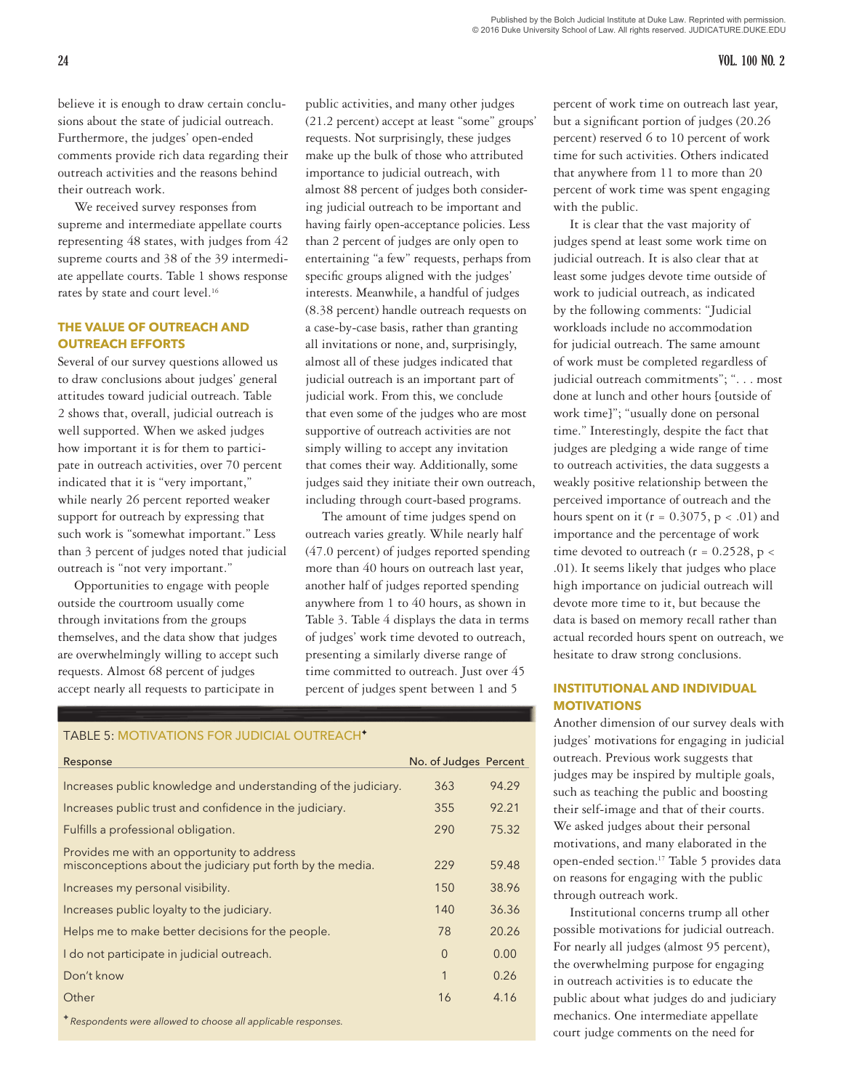#### **24 VOL. 100 NO. 2**

believe it is enough to draw certain conclusions about the state of judicial outreach. Furthermore, the judges' open-ended comments provide rich data regarding their outreach activities and the reasons behind their outreach work.

We received survey responses from supreme and intermediate appellate courts representing 48 states, with judges from 42 supreme courts and 38 of the 39 intermediate appellate courts. Table 1 shows response rates by state and court level.<sup>16</sup>

# **THE VALUE OF OUTREACH AND OUTREACH EFFORTS**

Several of our survey questions allowed us to draw conclusions about judges' general attitudes toward judicial outreach. Table 2 shows that, overall, judicial outreach is well supported. When we asked judges how important it is for them to participate in outreach activities, over 70 percent indicated that it is "very important," while nearly 26 percent reported weaker support for outreach by expressing that such work is "somewhat important." Less than 3 percent of judges noted that judicial outreach is "not very important."

Opportunities to engage with people outside the courtroom usually come through invitations from the groups themselves, and the data show that judges are overwhelmingly willing to accept such requests. Almost 68 percent of judges accept nearly all requests to participate in

public activities, and many other judges (21.2 percent) accept at least "some" groups' requests. Not surprisingly, these judges make up the bulk of those who attributed importance to judicial outreach, with almost 88 percent of judges both considering judicial outreach to be important and having fairly open-acceptance policies. Less than 2 percent of judges are only open to entertaining "a few" requests, perhaps from specific groups aligned with the judges' interests. Meanwhile, a handful of judges (8.38 percent) handle outreach requests on a case-by-case basis, rather than granting all invitations or none, and, surprisingly, almost all of these judges indicated that judicial outreach is an important part of judicial work. From this, we conclude that even some of the judges who are most supportive of outreach activities are not simply willing to accept any invitation that comes their way. Additionally, some judges said they initiate their own outreach, including through court-based programs.

The amount of time judges spend on outreach varies greatly. While nearly half (47.0 percent) of judges reported spending more than 40 hours on outreach last year, another half of judges reported spending anywhere from 1 to 40 hours, as shown in Table 3. Table 4 displays the data in terms of judges' work time devoted to outreach, presenting a similarly diverse range of time committed to outreach. Just over 45 percent of judges spent between 1 and 5

#### TABLE 5: MOTIVATIONS FOR JUDICIAL OUTREACH<sup>+</sup>

| Response                                                                                                 | No. of Judges Percent |       |
|----------------------------------------------------------------------------------------------------------|-----------------------|-------|
| Increases public knowledge and understanding of the judiciary.                                           | 363                   | 94.29 |
| Increases public trust and confidence in the judiciary.                                                  | 355                   | 92.21 |
| Fulfills a professional obligation.                                                                      | 290                   | 75.32 |
| Provides me with an opportunity to address<br>misconceptions about the judiciary put forth by the media. | 229                   | 59.48 |
| Increases my personal visibility.                                                                        | 150                   | 38.96 |
| Increases public loyalty to the judiciary.                                                               | 140                   | 36.36 |
| Helps me to make better decisions for the people.                                                        | 78                    | 20.26 |
| I do not participate in judicial outreach.                                                               | $\Omega$              | 0.00  |
| Don't know                                                                                               | 1                     | 0.26  |
| Other                                                                                                    | 16                    | 4.16  |
| *Respondents were allowed to choose all applicable responses.                                            |                       |       |

percent of work time on outreach last year, but a significant portion of judges (20.26 percent) reserved 6 to 10 percent of work time for such activities. Others indicated that anywhere from 11 to more than 20 percent of work time was spent engaging with the public.

It is clear that the vast majority of judges spend at least some work time on judicial outreach. It is also clear that at least some judges devote time outside of work to judicial outreach, as indicated by the following comments: "Judicial workloads include no accommodation for judicial outreach. The same amount of work must be completed regardless of judicial outreach commitments"; ". . . most done at lunch and other hours [outside of work time]"; "usually done on personal time." Interestingly, despite the fact that judges are pledging a wide range of time to outreach activities, the data suggests a weakly positive relationship between the perceived importance of outreach and the hours spent on it ( $r = 0.3075$ ,  $p < .01$ ) and importance and the percentage of work time devoted to outreach ( $r = 0.2528$ ,  $p <$ .01). It seems likely that judges who place high importance on judicial outreach will devote more time to it, but because the data is based on memory recall rather than actual recorded hours spent on outreach, we hesitate to draw strong conclusions.

### **INSTITUTIONAL AND INDIVIDUAL MOTIVATIONS**

Another dimension of our survey deals with judges' motivations for engaging in judicial outreach. Previous work suggests that judges may be inspired by multiple goals, such as teaching the public and boosting their self-image and that of their courts. We asked judges about their personal motivations, and many elaborated in the open-ended section.17 Table 5 provides data on reasons for engaging with the public through outreach work.

Institutional concerns trump all other possible motivations for judicial outreach. For nearly all judges (almost 95 percent), the overwhelming purpose for engaging in outreach activities is to educate the public about what judges do and judiciary mechanics. One intermediate appellate court judge comments on the need for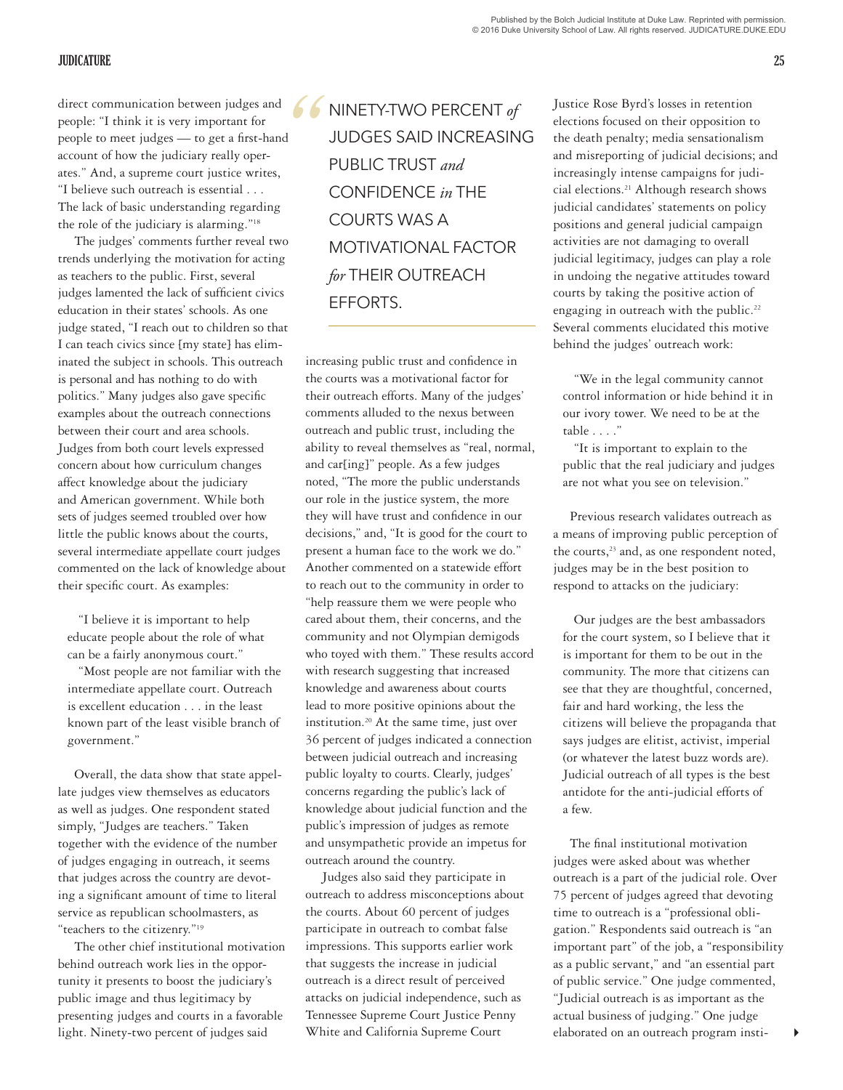# **JUDICATURE 25**

direct communication between judges and people: "I think it is very important for people to meet judges — to get a first-hand account of how the judiciary really operates." And, a supreme court justice writes, "I believe such outreach is essential . . . The lack of basic understanding regarding the role of the judiciary is alarming."18

The judges' comments further reveal two trends underlying the motivation for acting as teachers to the public. First, several judges lamented the lack of sufficient civics education in their states' schools. As one judge stated, "I reach out to children so that I can teach civics since [my state] has eliminated the subject in schools. This outreach is personal and has nothing to do with politics." Many judges also gave specific examples about the outreach connections between their court and area schools. Judges from both court levels expressed concern about how curriculum changes affect knowledge about the judiciary and American government. While both sets of judges seemed troubled over how little the public knows about the courts, several intermediate appellate court judges commented on the lack of knowledge about their specific court. As examples:

"I believe it is important to help educate people about the role of what can be a fairly anonymous court."

"Most people are not familiar with the intermediate appellate court. Outreach is excellent education . . . in the least known part of the least visible branch of government."

Overall, the data show that state appellate judges view themselves as educators as well as judges. One respondent stated simply, "Judges are teachers." Taken together with the evidence of the number of judges engaging in outreach, it seems that judges across the country are devoting a significant amount of time to literal service as republican schoolmasters, as "teachers to the citizenry."19

The other chief institutional motivation behind outreach work lies in the opportunity it presents to boost the judiciary's public image and thus legitimacy by presenting judges and courts in a favorable light. Ninety-two percent of judges said

NINETY-TWO PERCENT *of* JUDGES SAID INCREASING PUBLIC TRUST *and* CONFIDENCE *in* THE COURTS WAS A MOTIVATIONAL FACTOR *for* THEIR OUTREACH EFFORTS. *"*

increasing public trust and confidence in the courts was a motivational factor for their outreach efforts. Many of the judges' comments alluded to the nexus between outreach and public trust, including the ability to reveal themselves as "real, normal, and car[ing]" people. As a few judges noted, "The more the public understands our role in the justice system, the more they will have trust and confidence in our decisions," and, "It is good for the court to present a human face to the work we do." Another commented on a statewide effort to reach out to the community in order to "help reassure them we were people who cared about them, their concerns, and the community and not Olympian demigods who toyed with them." These results accord with research suggesting that increased knowledge and awareness about courts lead to more positive opinions about the institution.20 At the same time, just over 36 percent of judges indicated a connection between judicial outreach and increasing public loyalty to courts. Clearly, judges' concerns regarding the public's lack of knowledge about judicial function and the public's impression of judges as remote and unsympathetic provide an impetus for outreach around the country.

Judges also said they participate in outreach to address misconceptions about the courts. About 60 percent of judges participate in outreach to combat false impressions. This supports earlier work that suggests the increase in judicial outreach is a direct result of perceived attacks on judicial independence, such as Tennessee Supreme Court Justice Penny White and California Supreme Court

Justice Rose Byrd's losses in retention elections focused on their opposition to the death penalty; media sensationalism and misreporting of judicial decisions; and increasingly intense campaigns for judicial elections.<sup>21</sup> Although research shows judicial candidates' statements on policy positions and general judicial campaign activities are not damaging to overall judicial legitimacy, judges can play a role in undoing the negative attitudes toward courts by taking the positive action of engaging in outreach with the public.<sup>22</sup> Several comments elucidated this motive behind the judges' outreach work:

"We in the legal community cannot control information or hide behind it in our ivory tower. We need to be at the table . . . ."

"It is important to explain to the public that the real judiciary and judges are not what you see on television."

Previous research validates outreach as a means of improving public perception of the courts,<sup>23</sup> and, as one respondent noted, judges may be in the best position to respond to attacks on the judiciary:

Our judges are the best ambassadors for the court system, so I believe that it is important for them to be out in the community. The more that citizens can see that they are thoughtful, concerned, fair and hard working, the less the citizens will believe the propaganda that says judges are elitist, activist, imperial (or whatever the latest buzz words are). Judicial outreach of all types is the best antidote for the anti-judicial efforts of a few.

The final institutional motivation judges were asked about was whether outreach is a part of the judicial role. Over 75 percent of judges agreed that devoting time to outreach is a "professional obligation." Respondents said outreach is "an important part" of the job, a "responsibility as a public servant," and "an essential part of public service." One judge commented, "Judicial outreach is as important as the actual business of judging." One judge elaborated on an outreach program insti-

 $\blacktriangleright$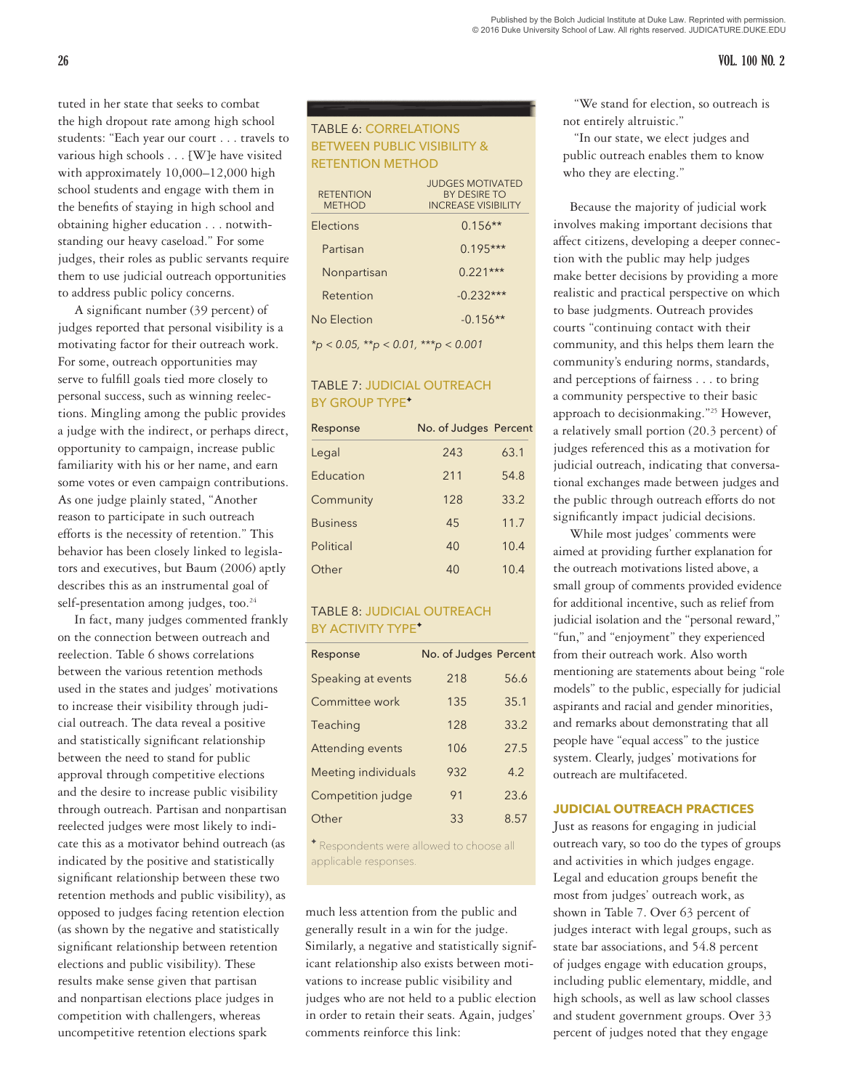tuted in her state that seeks to combat the high dropout rate among high school students: "Each year our court . . . travels to various high schools . . . [W]e have visited with approximately 10,000–12,000 high school students and engage with them in the benefits of staying in high school and obtaining higher education . . . notwithstanding our heavy caseload." For some judges, their roles as public servants require them to use judicial outreach opportunities to address public policy concerns.

A significant number (39 percent) of judges reported that personal visibility is a motivating factor for their outreach work. For some, outreach opportunities may serve to fulfill goals tied more closely to personal success, such as winning reelections. Mingling among the public provides a judge with the indirect, or perhaps direct, opportunity to campaign, increase public familiarity with his or her name, and earn some votes or even campaign contributions. As one judge plainly stated, "Another reason to participate in such outreach efforts is the necessity of retention." This behavior has been closely linked to legislators and executives, but Baum (2006) aptly describes this as an instrumental goal of self-presentation among judges, too.<sup>24</sup>

In fact, many judges commented frankly on the connection between outreach and reelection. Table 6 shows correlations between the various retention methods used in the states and judges' motivations to increase their visibility through judicial outreach. The data reveal a positive and statistically significant relationship between the need to stand for public approval through competitive elections and the desire to increase public visibility through outreach. Partisan and nonpartisan reelected judges were most likely to indicate this as a motivator behind outreach (as indicated by the positive and statistically significant relationship between these two retention methods and public visibility), as opposed to judges facing retention election (as shown by the negative and statistically significant relationship between retention elections and public visibility). These results make sense given that partisan and nonpartisan elections place judges in competition with challengers, whereas uncompetitive retention elections spark

# TABLE 6: CORRELATIONS BETWEEN PUBLIC VISIBILITY & RETENTION METHOD

| <b>RETENTION</b><br><b>METHOD</b>             | <b>JUDGES MOTIVATED</b><br><b>BY DESIRE TO</b><br><b>INCREASE VISIBILITY</b> |
|-----------------------------------------------|------------------------------------------------------------------------------|
| Elections                                     | $0.156**$                                                                    |
| Partisan                                      | $0.195***$                                                                   |
| Nonpartisan                                   | $0.221***$                                                                   |
| Retention                                     | $-0.232***$                                                                  |
| No Election                                   | $-0.156**$                                                                   |
| $*_p$ < 0.05, $*_p$ < 0.01, $^{**}$ p < 0.001 |                                                                              |

# TABLE 7: JUDICIAL OUTREACH BY GROUP TYPE<sup>+</sup>

| Response         | No. of Judges Percent |      |
|------------------|-----------------------|------|
| Legal            | 243                   | 63.1 |
| <b>Education</b> | 211                   | 54.8 |
| Community        | 128                   | 33.2 |
| <b>Business</b>  | 45                    | 11.7 |
| Political        | 40                    | 10.4 |
| Other            | 40                    | 10.4 |

# TABLE 8: JUDICIAL OUTREACH BY ACTIVITY TYPE<sup>+</sup>

| Response            | No. of Judges Percent |      |
|---------------------|-----------------------|------|
| Speaking at events  | 218                   | 56.6 |
| Committee work      | 135                   | 35.1 |
| Teaching            | 128                   | 33.2 |
| Attending events    | 106                   | 27.5 |
| Meeting individuals | 932                   | 4.2  |
| Competition judge   | 91                    | 23.6 |
| Other               | 33                    | 8.57 |

F Respondents were allowed to choose all applicable responses.

much less attention from the public and generally result in a win for the judge. Similarly, a negative and statistically significant relationship also exists between motivations to increase public visibility and judges who are not held to a public election in order to retain their seats. Again, judges' comments reinforce this link:

"We stand for election, so outreach is not entirely altruistic."

"In our state, we elect judges and public outreach enables them to know who they are electing."

Because the majority of judicial work involves making important decisions that affect citizens, developing a deeper connection with the public may help judges make better decisions by providing a more realistic and practical perspective on which to base judgments. Outreach provides courts "continuing contact with their community, and this helps them learn the community's enduring norms, standards, and perceptions of fairness . . . to bring a community perspective to their basic approach to decisionmaking."25 However, a relatively small portion (20.3 percent) of judges referenced this as a motivation for judicial outreach, indicating that conversational exchanges made between judges and the public through outreach efforts do not significantly impact judicial decisions.

While most judges' comments were aimed at providing further explanation for the outreach motivations listed above, a small group of comments provided evidence for additional incentive, such as relief from judicial isolation and the "personal reward," "fun," and "enjoyment" they experienced from their outreach work. Also worth mentioning are statements about being "role models" to the public, especially for judicial aspirants and racial and gender minorities, and remarks about demonstrating that all people have "equal access" to the justice system. Clearly, judges' motivations for outreach are multifaceted.

#### **JUDICIAL OUTREACH PRACTICES**

Just as reasons for engaging in judicial outreach vary, so too do the types of groups and activities in which judges engage. Legal and education groups benefit the most from judges' outreach work, as shown in Table 7. Over 63 percent of judges interact with legal groups, such as state bar associations, and 54.8 percent of judges engage with education groups, including public elementary, middle, and high schools, as well as law school classes and student government groups. Over 33 percent of judges noted that they engage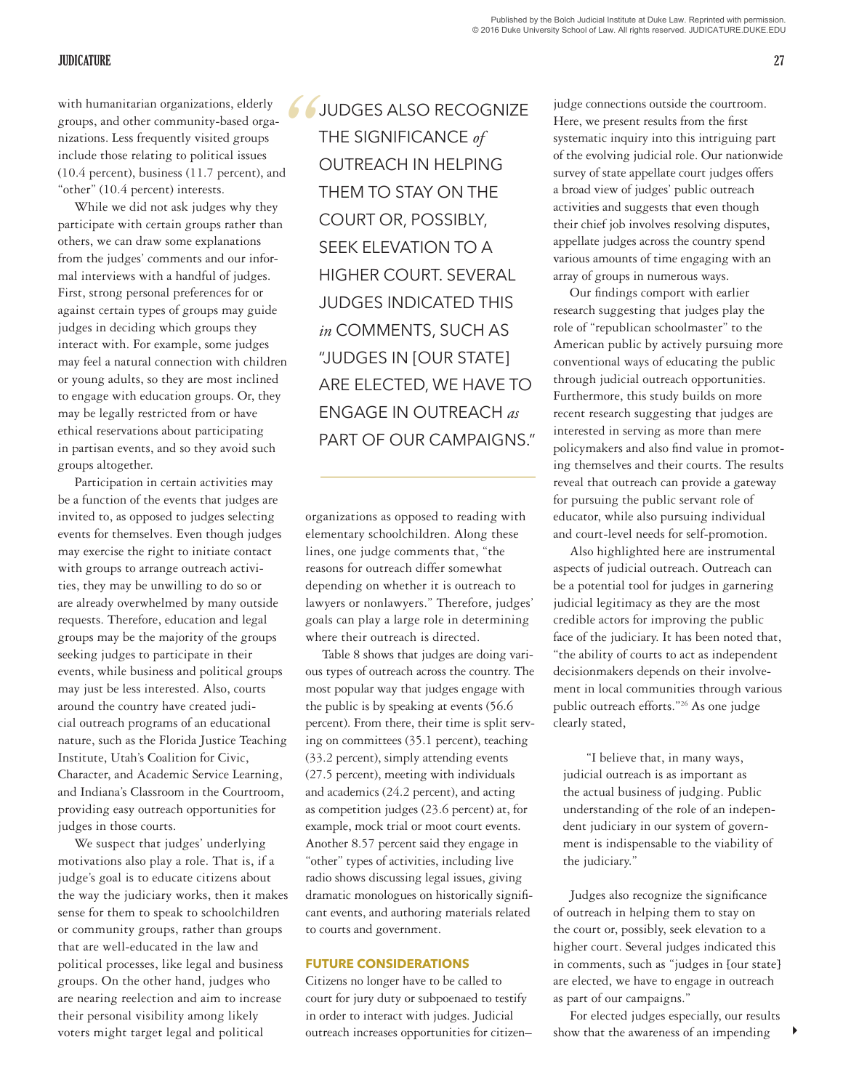# **JUDICATURE 27**

with humanitarian organizations, elderly groups, and other community-based organizations. Less frequently visited groups include those relating to political issues (10.4 percent), business (11.7 percent), and "other" (10.4 percent) interests.

While we did not ask judges why they participate with certain groups rather than others, we can draw some explanations from the judges' comments and our informal interviews with a handful of judges. First, strong personal preferences for or against certain types of groups may guide judges in deciding which groups they interact with. For example, some judges may feel a natural connection with children or young adults, so they are most inclined to engage with education groups. Or, they may be legally restricted from or have ethical reservations about participating in partisan events, and so they avoid such groups altogether.

Participation in certain activities may be a function of the events that judges are invited to, as opposed to judges selecting events for themselves. Even though judges may exercise the right to initiate contact with groups to arrange outreach activities, they may be unwilling to do so or are already overwhelmed by many outside requests. Therefore, education and legal groups may be the majority of the groups seeking judges to participate in their events, while business and political groups may just be less interested. Also, courts around the country have created judicial outreach programs of an educational nature, such as the Florida Justice Teaching Institute, Utah's Coalition for Civic, Character, and Academic Service Learning, and Indiana's Classroom in the Courtroom, providing easy outreach opportunities for judges in those courts.

We suspect that judges' underlying motivations also play a role. That is, if a judge's goal is to educate citizens about the way the judiciary works, then it makes sense for them to speak to schoolchildren or community groups, rather than groups that are well-educated in the law and political processes, like legal and business groups. On the other hand, judges who are nearing reelection and aim to increase their personal visibility among likely voters might target legal and political

JUDGES ALSO RECOGNIZE THE SIGNIFICANCE *of* OUTREACH IN HELPING THEM TO STAY ON THE COURT OR, POSSIBLY, SEEK ELEVATION TO A HIGHER COURT. SEVERAL JUDGES INDICATED THIS *in* COMMENTS, SUCH AS "JUDGES IN [OUR STATE] ARE ELECTED, WE HAVE TO ENGAGE IN OUTREACH *as* PART OF OUR CAMPAIGNS." *"*

organizations as opposed to reading with elementary schoolchildren. Along these lines, one judge comments that, "the reasons for outreach differ somewhat depending on whether it is outreach to lawyers or nonlawyers." Therefore, judges' goals can play a large role in determining where their outreach is directed.

Table 8 shows that judges are doing various types of outreach across the country. The most popular way that judges engage with the public is by speaking at events (56.6 percent). From there, their time is split serving on committees (35.1 percent), teaching (33.2 percent), simply attending events (27.5 percent), meeting with individuals and academics (24.2 percent), and acting as competition judges (23.6 percent) at, for example, mock trial or moot court events. Another 8.57 percent said they engage in "other" types of activities, including live radio shows discussing legal issues, giving dramatic monologues on historically significant events, and authoring materials related to courts and government.

#### **FUTURE CONSIDERATIONS**

Citizens no longer have to be called to court for jury duty or subpoenaed to testify in order to interact with judges. Judicial outreach increases opportunities for citizen– judge connections outside the courtroom. Here, we present results from the first systematic inquiry into this intriguing part of the evolving judicial role. Our nationwide survey of state appellate court judges offers a broad view of judges' public outreach activities and suggests that even though their chief job involves resolving disputes, appellate judges across the country spend various amounts of time engaging with an array of groups in numerous ways.

Our findings comport with earlier research suggesting that judges play the role of "republican schoolmaster" to the American public by actively pursuing more conventional ways of educating the public through judicial outreach opportunities. Furthermore, this study builds on more recent research suggesting that judges are interested in serving as more than mere policymakers and also find value in promoting themselves and their courts. The results reveal that outreach can provide a gateway for pursuing the public servant role of educator, while also pursuing individual and court-level needs for self-promotion.

Also highlighted here are instrumental aspects of judicial outreach. Outreach can be a potential tool for judges in garnering judicial legitimacy as they are the most credible actors for improving the public face of the judiciary. It has been noted that, "the ability of courts to act as independent decisionmakers depends on their involvement in local communities through various public outreach efforts."26 As one judge clearly stated,

"I believe that, in many ways, judicial outreach is as important as the actual business of judging. Public understanding of the role of an independent judiciary in our system of government is indispensable to the viability of the judiciary."

Judges also recognize the significance of outreach in helping them to stay on the court or, possibly, seek elevation to a higher court. Several judges indicated this in comments, such as "judges in [our state] are elected, we have to engage in outreach as part of our campaigns."

For elected judges especially, our results show that the awareness of an impending

 $\blacktriangleright$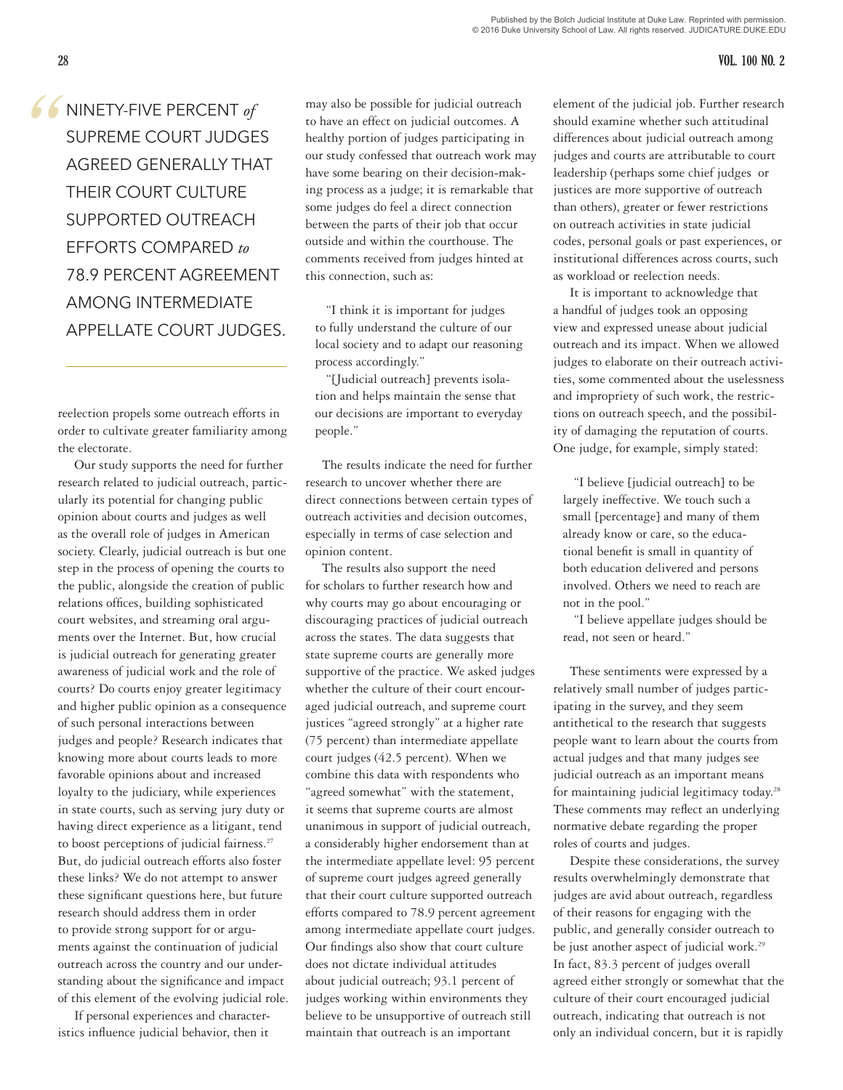#### **28 VOL. 100 NO. 2**

NINETY-FIVE PERCENT *of* SUPREME COURT JUDGES AGREED GENERALLY THAT THEIR COURT CULTURE SUPPORTED OUTREACH EFFORTS COMPARED *to* 78.9 PERCENT AGREEMENT AMONG INTERMEDIATE APPELLATE COURT JUDGES. *"*

> reelection propels some outreach efforts in order to cultivate greater familiarity among the electorate.

> Our study supports the need for further research related to judicial outreach, particularly its potential for changing public opinion about courts and judges as well as the overall role of judges in American society. Clearly, judicial outreach is but one step in the process of opening the courts to the public, alongside the creation of public relations offices, building sophisticated court websites, and streaming oral arguments over the Internet. But, how crucial is judicial outreach for generating greater awareness of judicial work and the role of courts? Do courts enjoy greater legitimacy and higher public opinion as a consequence of such personal interactions between judges and people? Research indicates that knowing more about courts leads to more favorable opinions about and increased loyalty to the judiciary, while experiences in state courts, such as serving jury duty or having direct experience as a litigant, tend to boost perceptions of judicial fairness.<sup>27</sup> But, do judicial outreach efforts also foster these links? We do not attempt to answer these significant questions here, but future research should address them in order to provide strong support for or arguments against the continuation of judicial outreach across the country and our understanding about the significance and impact of this element of the evolving judicial role.

If personal experiences and characteristics influence judicial behavior, then it

may also be possible for judicial outreach to have an effect on judicial outcomes. A healthy portion of judges participating in our study confessed that outreach work may have some bearing on their decision-making process as a judge; it is remarkable that some judges do feel a direct connection between the parts of their job that occur outside and within the courthouse. The comments received from judges hinted at this connection, such as:

"I think it is important for judges to fully understand the culture of our local society and to adapt our reasoning process accordingly."

"[Judicial outreach] prevents isolation and helps maintain the sense that our decisions are important to everyday people."

The results indicate the need for further research to uncover whether there are direct connections between certain types of outreach activities and decision outcomes, especially in terms of case selection and opinion content.

The results also support the need for scholars to further research how and why courts may go about encouraging or discouraging practices of judicial outreach across the states. The data suggests that state supreme courts are generally more supportive of the practice. We asked judges whether the culture of their court encouraged judicial outreach, and supreme court justices "agreed strongly" at a higher rate (75 percent) than intermediate appellate court judges (42.5 percent). When we combine this data with respondents who "agreed somewhat" with the statement, it seems that supreme courts are almost unanimous in support of judicial outreach, a considerably higher endorsement than at the intermediate appellate level: 95 percent of supreme court judges agreed generally that their court culture supported outreach efforts compared to 78.9 percent agreement among intermediate appellate court judges. Our findings also show that court culture does not dictate individual attitudes about judicial outreach; 93.1 percent of judges working within environments they believe to be unsupportive of outreach still maintain that outreach is an important

element of the judicial job. Further research should examine whether such attitudinal differences about judicial outreach among judges and courts are attributable to court leadership (perhaps some chief judges or justices are more supportive of outreach than others), greater or fewer restrictions on outreach activities in state judicial codes, personal goals or past experiences, or institutional differences across courts, such as workload or reelection needs.

It is important to acknowledge that a handful of judges took an opposing view and expressed unease about judicial outreach and its impact. When we allowed judges to elaborate on their outreach activities, some commented about the uselessness and impropriety of such work, the restrictions on outreach speech, and the possibility of damaging the reputation of courts. One judge, for example, simply stated:

"I believe [judicial outreach] to be largely ineffective. We touch such a small [percentage] and many of them already know or care, so the educational benefit is small in quantity of both education delivered and persons involved. Others we need to reach are not in the pool."

"I believe appellate judges should be read, not seen or heard."

These sentiments were expressed by a relatively small number of judges participating in the survey, and they seem antithetical to the research that suggests people want to learn about the courts from actual judges and that many judges see judicial outreach as an important means for maintaining judicial legitimacy today.<sup>28</sup> These comments may reflect an underlying normative debate regarding the proper roles of courts and judges.

Despite these considerations, the survey results overwhelmingly demonstrate that judges are avid about outreach, regardless of their reasons for engaging with the public, and generally consider outreach to be just another aspect of judicial work.<sup>29</sup> In fact, 83.3 percent of judges overall agreed either strongly or somewhat that the culture of their court encouraged judicial outreach, indicating that outreach is not only an individual concern, but it is rapidly